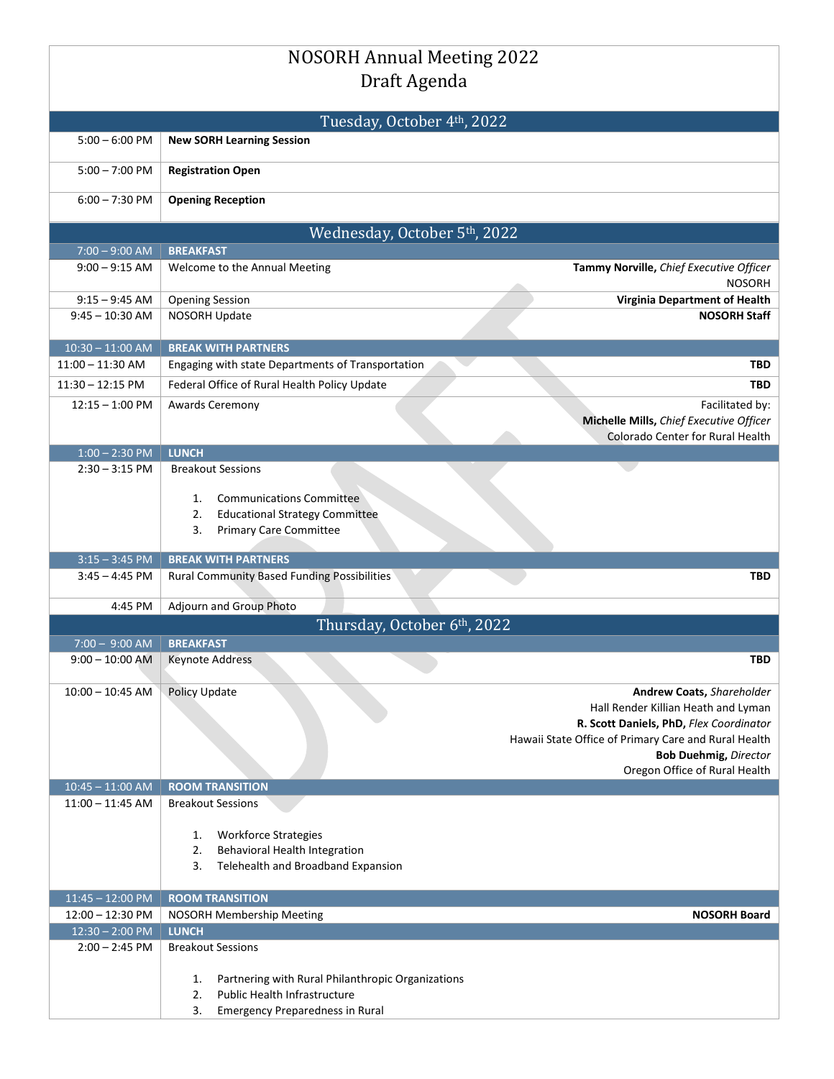|                                          | <b>NOSORH Annual Meeting 2022</b>                                                  |                                                                                |  |  |
|------------------------------------------|------------------------------------------------------------------------------------|--------------------------------------------------------------------------------|--|--|
| Draft Agenda                             |                                                                                    |                                                                                |  |  |
|                                          |                                                                                    |                                                                                |  |  |
| Tuesday, October 4th, 2022               |                                                                                    |                                                                                |  |  |
| $5:00 - 6:00$ PM                         | <b>New SORH Learning Session</b>                                                   |                                                                                |  |  |
| $5:00 - 7:00$ PM                         | <b>Registration Open</b>                                                           |                                                                                |  |  |
| $6:00 - 7:30$ PM                         | <b>Opening Reception</b>                                                           |                                                                                |  |  |
| Wednesday, October 5th, 2022             |                                                                                    |                                                                                |  |  |
| $7:00 - 9:00$ AM                         | <b>BREAKFAST</b>                                                                   |                                                                                |  |  |
| $9:00 - 9:15$ AM                         | Welcome to the Annual Meeting                                                      | Tammy Norville, Chief Executive Officer<br><b>NOSORH</b>                       |  |  |
| $9:15 - 9:45$ AM                         | <b>Opening Session</b>                                                             | <b>Virginia Department of Health</b>                                           |  |  |
| $9:45 - 10:30$ AM                        | NOSORH Update                                                                      | <b>NOSORH Staff</b>                                                            |  |  |
| $10:30 - 11:00$ AM                       | <b>BREAK WITH PARTNERS</b>                                                         |                                                                                |  |  |
| $11:00 - 11:30$ AM                       | Engaging with state Departments of Transportation                                  | TBD                                                                            |  |  |
| $11:30 - 12:15$ PM                       | Federal Office of Rural Health Policy Update                                       | <b>TBD</b>                                                                     |  |  |
| $12:15 - 1:00$ PM                        | <b>Awards Ceremony</b>                                                             | Facilitated by:                                                                |  |  |
|                                          |                                                                                    | Michelle Mills, Chief Executive Officer<br>Colorado Center for Rural Health    |  |  |
| $1:00 - 2:30$ PM                         | <b>LUNCH</b>                                                                       |                                                                                |  |  |
| $2:30 - 3:15$ PM                         | <b>Breakout Sessions</b>                                                           |                                                                                |  |  |
|                                          |                                                                                    |                                                                                |  |  |
|                                          | <b>Communications Committee</b><br>1.                                              |                                                                                |  |  |
|                                          | <b>Educational Strategy Committee</b><br>2.<br><b>Primary Care Committee</b><br>3. |                                                                                |  |  |
|                                          |                                                                                    |                                                                                |  |  |
| $3:15 - 3:45$ PM                         | <b>BREAK WITH PARTNERS</b>                                                         |                                                                                |  |  |
|                                          |                                                                                    |                                                                                |  |  |
| 3:45 – 4:45 PM                           | <b>Rural Community Based Funding Possibilities</b>                                 | <b>TBD</b>                                                                     |  |  |
| 4:45 PM                                  | Adjourn and Group Photo                                                            |                                                                                |  |  |
|                                          | Thursday, October 6th, 2022                                                        |                                                                                |  |  |
| $7:00 - 9:00$ AM                         | <b>BREAKFAST</b>                                                                   |                                                                                |  |  |
| $9:00 - 10:00$ AM                        | <b>Keynote Address</b>                                                             | TBD                                                                            |  |  |
|                                          |                                                                                    |                                                                                |  |  |
| $10:00 - 10:45$ AM                       | Policy Update                                                                      | <b>Andrew Coats, Shareholder</b>                                               |  |  |
|                                          |                                                                                    | Hall Render Killian Heath and Lyman<br>R. Scott Daniels, PhD, Flex Coordinator |  |  |
|                                          |                                                                                    | Hawaii State Office of Primary Care and Rural Health                           |  |  |
|                                          |                                                                                    | <b>Bob Duehmig, Director</b>                                                   |  |  |
|                                          |                                                                                    | Oregon Office of Rural Health                                                  |  |  |
| $10:45 - 11:00$ AM<br>$11:00 - 11:45$ AM | <b>ROOM TRANSITION</b><br><b>Breakout Sessions</b>                                 |                                                                                |  |  |
|                                          |                                                                                    |                                                                                |  |  |
|                                          | <b>Workforce Strategies</b><br>1.                                                  |                                                                                |  |  |
|                                          | Behavioral Health Integration<br>2.                                                |                                                                                |  |  |
|                                          | Telehealth and Broadband Expansion<br>3.                                           |                                                                                |  |  |
| $11:45 - 12:00$ PM                       | <b>ROOM TRANSITION</b>                                                             |                                                                                |  |  |
| $12:00 - 12:30$ PM                       | NOSORH Membership Meeting                                                          | <b>NOSORH Board</b>                                                            |  |  |
| $12:30 - 2:00$ PM                        | <b>LUNCH</b>                                                                       |                                                                                |  |  |
| $2:00 - 2:45$ PM                         | <b>Breakout Sessions</b>                                                           |                                                                                |  |  |
|                                          | Partnering with Rural Philanthropic Organizations<br>1.                            |                                                                                |  |  |
|                                          | Public Health Infrastructure<br>2.<br><b>Emergency Preparedness in Rural</b>       |                                                                                |  |  |